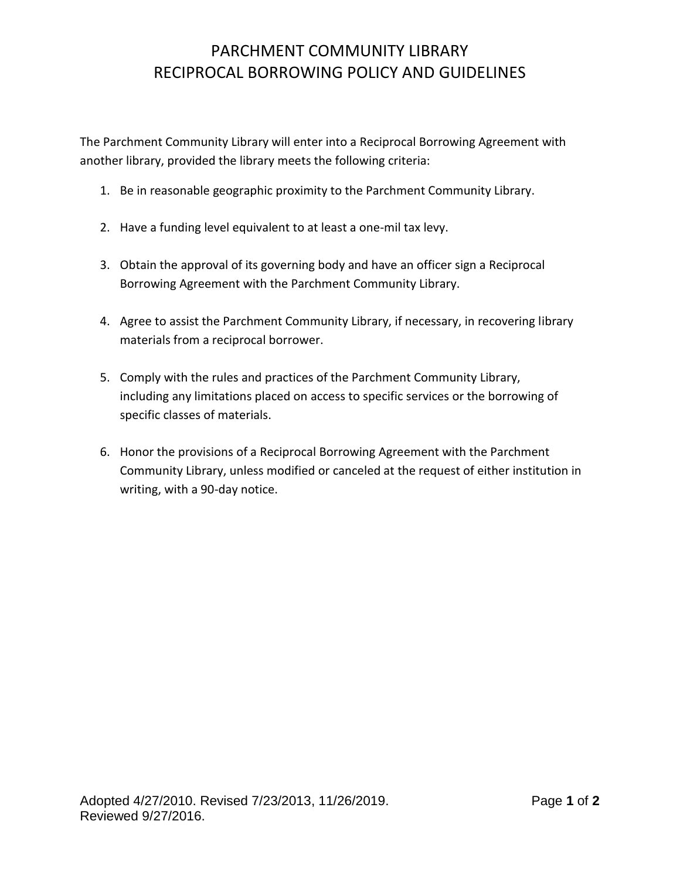## PARCHMENT COMMUNITY LIBRARY RECIPROCAL BORROWING POLICY AND GUIDELINES

The Parchment Community Library will enter into a Reciprocal Borrowing Agreement with another library, provided the library meets the following criteria:

- 1. Be in reasonable geographic proximity to the Parchment Community Library.
- 2. Have a funding level equivalent to at least a one-mil tax levy.
- 3. Obtain the approval of its governing body and have an officer sign a Reciprocal Borrowing Agreement with the Parchment Community Library.
- 4. Agree to assist the Parchment Community Library, if necessary, in recovering library materials from a reciprocal borrower.
- 5. Comply with the rules and practices of the Parchment Community Library, including any limitations placed on access to specific services or the borrowing of specific classes of materials.
- 6. Honor the provisions of a Reciprocal Borrowing Agreement with the Parchment Community Library, unless modified or canceled at the request of either institution in writing, with a 90-day notice.